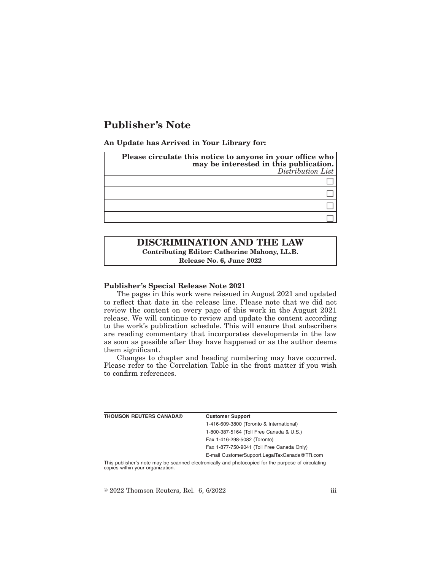# **Publisher's Note**

**An Update has Arrived in Your Library for:**

| Please circulate this notice to anyone in your office who<br>may be interested in this publication.<br>Distribution List |
|--------------------------------------------------------------------------------------------------------------------------|
|                                                                                                                          |
|                                                                                                                          |
|                                                                                                                          |
|                                                                                                                          |

# **DISCRIMINATION AND THE LAW Contributing Editor: Catherine Mahony, LL.B. Release No. 6, June 2022**

#### **Publisher's Special Release Note 2021**

The pages in this work were reissued in August 2021 and updated to reflect that date in the release line. Please note that we did not review the content on every page of this work in the August 2021 release. We will continue to review and update the content according to the work's publication schedule. This will ensure that subscribers are reading commentary that incorporates developments in the law as soon as possible after they have happened or as the author deems them significant.

Changes to chapter and heading numbering may have occurred. Please refer to the Correlation Table in the front matter if you wish to confirm references.

| <b>THOMSON REUTERS CANADA®</b>   | <b>Customer Support</b>                                                                            |
|----------------------------------|----------------------------------------------------------------------------------------------------|
|                                  | 1-416-609-3800 (Toronto & International)                                                           |
|                                  | 1-800-387-5164 (Toll Free Canada & U.S.)                                                           |
|                                  | Fax 1-416-298-5082 (Toronto)                                                                       |
|                                  | Fax 1-877-750-9041 (Toll Free Canada Only)                                                         |
|                                  | E-mail CustomerSupport.LegalTaxCanada@TR.com                                                       |
| copies within your organization. | This publisher's note may be scanned electronically and photocopied for the purpose of circulating |

 $\textdegree$  2022 Thomson Reuters, Rel. 6, 6/2022 iii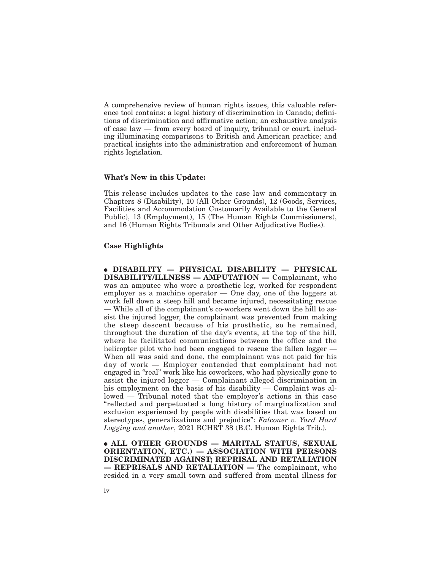A comprehensive review of human rights issues, this valuable reference tool contains: a legal history of discrimination in Canada; definitions of discrimination and affirmative action; an exhaustive analysis of case law — from every board of inquiry, tribunal or court, including illuminating comparisons to British and American practice; and practical insights into the administration and enforcement of human rights legislation.

### **What's New in this Update:**

This release includes updates to the case law and commentary in Chapters 8 (Disability), 10 (All Other Grounds), 12 (Goods, Services, Facilities and Accommodation Customarily Available to the General Public), 13 (Employment), 15 (The Human Rights Commissioners), and 16 (Human Rights Tribunals and Other Adjudicative Bodies).

#### **Case Highlights**

E **DISABILITY — PHYSICAL DISABILITY — PHYSICAL DISABILITY/ILLNESS — AMPUTATION —** Complainant, who was an amputee who wore a prosthetic leg, worked for respondent employer as a machine operator — One day, one of the loggers at work fell down a steep hill and became injured, necessitating rescue — While all of the complainant's co-workers went down the hill to assist the injured logger, the complainant was prevented from making the steep descent because of his prosthetic, so he remained, throughout the duration of the day's events, at the top of the hill, where he facilitated communications between the office and the helicopter pilot who had been engaged to rescue the fallen logger  $-$ When all was said and done, the complainant was not paid for his day of work — Employer contended that complainant had not engaged in "real" work like his coworkers, who had physically gone to assist the injured logger — Complainant alleged discrimination in his employment on the basis of his disability — Complaint was allowed — Tribunal noted that the employer's actions in this case "reflected and perpetuated a long history of marginalization and exclusion experienced by people with disabilities that was based on stereotypes, generalizations and prejudice": *Falconer v. Yard Hard Logging and another*, 2021 BCHRT 38 (B.C. Human Rights Trib.).

**ALL OTHER GROUNDS - MARITAL STATUS, SEXUAL ORIENTATION, ETC.) — ASSOCIATION WITH PERSONS DISCRIMINATED AGAINST; REPRISAL AND RETALIATION — REPRISALS AND RETALIATION —** The complainant, who resided in a very small town and suffered from mental illness for